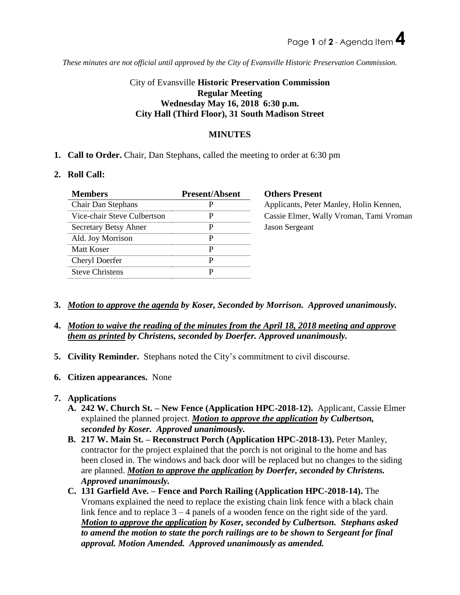*These minutes are not official until approved by the City of Evansville Historic Preservation Commission.*

# City of Evansville **Historic Preservation Commission Regular Meeting Wednesday May 16, 2018 6:30 p.m. City Hall (Third Floor), 31 South Madison Street**

## **MINUTES**

**1. Call to Order.** Chair, Dan Stephans, called the meeting to order at 6:30 pm

## **2. Roll Call:**

| <b>Members</b>              | <b>Present/Absent</b> | <b>Others Present</b>                   |
|-----------------------------|-----------------------|-----------------------------------------|
| <b>Chair Dan Stephans</b>   |                       | Applicants, Peter Manley, Holin Kennen, |
| Vice-chair Steve Culbertson |                       | Cassie Elmer, Wally Vroman, Tami Vroman |
| Secretary Betsy Ahner       |                       | <b>Jason Sergeant</b>                   |
| Ald. Joy Morrison           |                       |                                         |
| Matt Koser                  |                       |                                         |
| Cheryl Doerfer              |                       |                                         |
| <b>Steve Christens</b>      |                       |                                         |

- **3.** *Motion to approve the agenda by Koser, Seconded by Morrison. Approved unanimously.*
- **4.** *Motion to waive the reading of the minutes from the April 18, 2018 meeting and approve them as printed by Christens, seconded by Doerfer. Approved unanimously.*
- **5. Civility Reminder.** Stephans noted the City's commitment to civil discourse.
- **6. Citizen appearances.** None

## **7. Applications**

- **A. 242 W. Church St. – New Fence (Application HPC-2018-12).** Applicant, Cassie Elmer explained the planned project. *Motion to approve the application by Culbertson, seconded by Koser. Approved unanimously.*
- **B. 217 W. Main St. – Reconstruct Porch (Application HPC-2018-13).** Peter Manley, contractor for the project explained that the porch is not original to the home and has been closed in. The windows and back door will be replaced but no changes to the siding are planned. *Motion to approve the application by Doerfer, seconded by Christens. Approved unanimously.*
- **C. 131 Garfield Ave. – Fence and Porch Railing (Application HPC-2018-14).** The Vromans explained the need to replace the existing chain link fence with a black chain link fence and to replace  $3 - 4$  panels of a wooden fence on the right side of the yard. *Motion to approve the application by Koser, seconded by Culbertson. Stephans asked to amend the motion to state the porch railings are to be shown to Sergeant for final approval. Motion Amended. Approved unanimously as amended.*